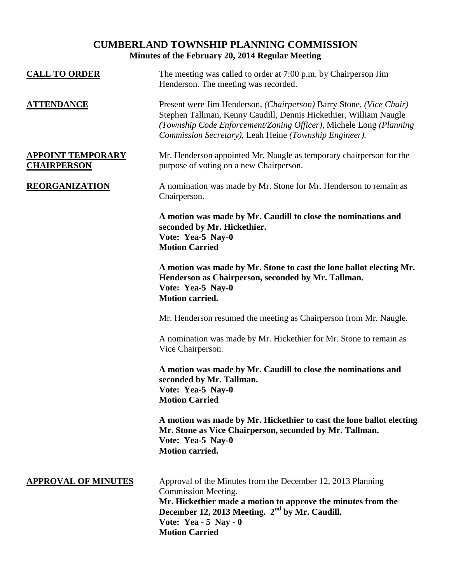# **CUMBERLAND TOWNSHIP PLANNING COMMISSION Minutes of the February 20, 2014 Regular Meeting**

| <b>CALL TO ORDER</b>                           | The meeting was called to order at 7:00 p.m. by Chairperson Jim<br>Henderson. The meeting was recorded.                                                                                                                                                                  |
|------------------------------------------------|--------------------------------------------------------------------------------------------------------------------------------------------------------------------------------------------------------------------------------------------------------------------------|
| <u>ATTENDANCE</u>                              | Present were Jim Henderson, (Chairperson) Barry Stone, (Vice Chair)<br>Stephen Tallman, Kenny Caudill, Dennis Hickethier, William Naugle<br>(Township Code Enforcement/Zoning Officer), Michele Long (Planning<br>Commission Secretary), Leah Heine (Township Engineer). |
| <u>APPOINT TEMPORARY</u><br><b>CHAIRPERSON</b> | Mr. Henderson appointed Mr. Naugle as temporary chairperson for the<br>purpose of voting on a new Chairperson.                                                                                                                                                           |
| <b>REORGANIZATION</b>                          | A nomination was made by Mr. Stone for Mr. Henderson to remain as<br>Chairperson.                                                                                                                                                                                        |
|                                                | A motion was made by Mr. Caudill to close the nominations and<br>seconded by Mr. Hickethier.<br>Vote: Yea-5 Nay-0<br><b>Motion Carried</b>                                                                                                                               |
|                                                | A motion was made by Mr. Stone to cast the lone ballot electing Mr.<br>Henderson as Chairperson, seconded by Mr. Tallman.<br>Vote: Yea-5 Nay-0<br><b>Motion carried.</b>                                                                                                 |
|                                                | Mr. Henderson resumed the meeting as Chairperson from Mr. Naugle.                                                                                                                                                                                                        |
|                                                | A nomination was made by Mr. Hickethier for Mr. Stone to remain as<br>Vice Chairperson.                                                                                                                                                                                  |
|                                                | A motion was made by Mr. Caudill to close the nominations and<br>seconded by Mr. Tallman.<br>Vote: Yea-5 Nay-0<br><b>Motion Carried</b>                                                                                                                                  |
|                                                | A motion was made by Mr. Hickethier to cast the lone ballot electing<br>Mr. Stone as Vice Chairperson, seconded by Mr. Tallman.<br>Vote: Yea-5 Nay-0<br><b>Motion carried.</b>                                                                                           |
| <b>APPROVAL OF MINUTES</b>                     | Approval of the Minutes from the December 12, 2013 Planning<br>Commission Meeting.<br>Mr. Hickethier made a motion to approve the minutes from the<br>December 12, 2013 Meeting. 2 <sup>nd</sup> by Mr. Caudill.<br>Vote: Yea - $5$ Nay - 0<br><b>Motion Carried</b>     |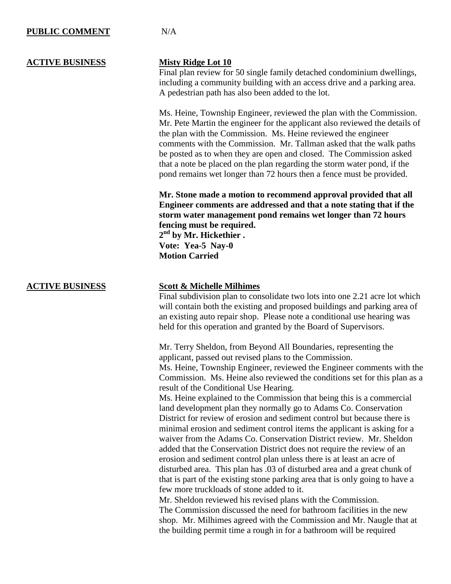### **PUBLIC COMMENT** N/A

### **ACTIVE BUSINESS Misty Ridge Lot 10**

Final plan review for 50 single family detached condominium dwellings, including a community building with an access drive and a parking area. A pedestrian path has also been added to the lot.

Ms. Heine, Township Engineer, reviewed the plan with the Commission. Mr. Pete Martin the engineer for the applicant also reviewed the details of the plan with the Commission. Ms. Heine reviewed the engineer comments with the Commission. Mr. Tallman asked that the walk paths be posted as to when they are open and closed. The Commission asked that a note be placed on the plan regarding the storm water pond, if the pond remains wet longer than 72 hours then a fence must be provided.

**Mr. Stone made a motion to recommend approval provided that all Engineer comments are addressed and that a note stating that if the storm water management pond remains wet longer than 72 hours fencing must be required.**

**2 nd by Mr. Hickethier . Vote: Yea-5 Nay-0 Motion Carried**

### **ACTIVE BUSINESS Scott & Michelle Milhimes**

Final subdivision plan to consolidate two lots into one 2.21 acre lot which will contain both the existing and proposed buildings and parking area of an existing auto repair shop. Please note a conditional use hearing was held for this operation and granted by the Board of Supervisors.

Mr. Terry Sheldon, from Beyond All Boundaries, representing the applicant, passed out revised plans to the Commission.

Ms. Heine, Township Engineer, reviewed the Engineer comments with the Commission. Ms. Heine also reviewed the conditions set for this plan as a result of the Conditional Use Hearing.

Ms. Heine explained to the Commission that being this is a commercial land development plan they normally go to Adams Co. Conservation District for review of erosion and sediment control but because there is minimal erosion and sediment control items the applicant is asking for a waiver from the Adams Co. Conservation District review. Mr. Sheldon added that the Conservation District does not require the review of an erosion and sediment control plan unless there is at least an acre of disturbed area. This plan has .03 of disturbed area and a great chunk of that is part of the existing stone parking area that is only going to have a few more truckloads of stone added to it.

Mr. Sheldon reviewed his revised plans with the Commission. The Commission discussed the need for bathroom facilities in the new shop. Mr. Milhimes agreed with the Commission and Mr. Naugle that at the building permit time a rough in for a bathroom will be required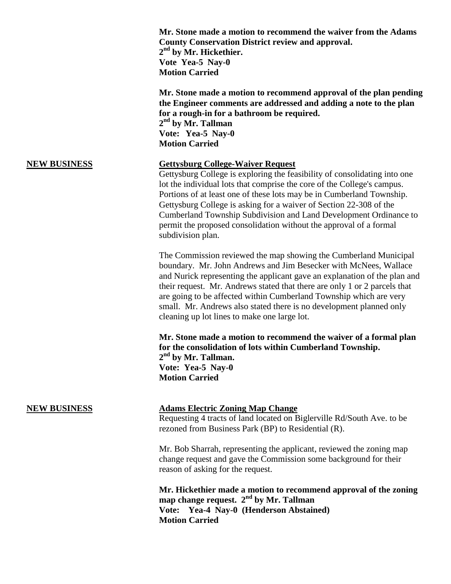| Mr. Stone made a motion to recommend the waiver from the Adams |
|----------------------------------------------------------------|
| <b>County Conservation District review and approval.</b>       |
| $2nd$ by Mr. Hickethier.                                       |
| Vote Yea-5 Nay-0                                               |
| <b>Motion Carried</b>                                          |

**Mr. Stone made a motion to recommend approval of the plan pending the Engineer comments are addressed and adding a note to the plan for a rough-in for a bathroom be required. 2 nd by Mr. Tallman Vote: Yea-5 Nay-0 Motion Carried**

### **NEW BUSINESS Gettysburg College-Waiver Request**

Gettysburg College is exploring the feasibility of consolidating into one lot the individual lots that comprise the core of the College's campus. Portions of at least one of these lots may be in Cumberland Township. Gettysburg College is asking for a waiver of Section 22-308 of the Cumberland Township Subdivision and Land Development Ordinance to permit the proposed consolidation without the approval of a formal subdivision plan.

The Commission reviewed the map showing the Cumberland Municipal boundary. Mr. John Andrews and Jim Besecker with McNees, Wallace and Nurick representing the applicant gave an explanation of the plan and their request. Mr. Andrews stated that there are only 1 or 2 parcels that are going to be affected within Cumberland Township which are very small. Mr. Andrews also stated there is no development planned only cleaning up lot lines to make one large lot.

**Mr. Stone made a motion to recommend the waiver of a formal plan for the consolidation of lots within Cumberland Township. 2 nd by Mr. Tallman. Vote: Yea-5 Nay-0 Motion Carried**

### **NEW BUSINESS Adams Electric Zoning Map Change**

Requesting 4 tracts of land located on Biglerville Rd/South Ave. to be rezoned from Business Park (BP) to Residential (R).

Mr. Bob Sharrah, representing the applicant, reviewed the zoning map change request and gave the Commission some background for their reason of asking for the request.

**Mr. Hickethier made a motion to recommend approval of the zoning map change request. 2nd by Mr. Tallman Vote: Yea-4 Nay-0 (Henderson Abstained) Motion Carried**